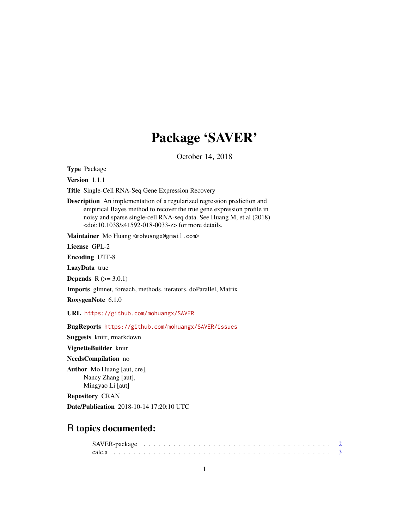## Package 'SAVER'

October 14, 2018

Type Package

Version 1.1.1

Title Single-Cell RNA-Seq Gene Expression Recovery

Description An implementation of a regularized regression prediction and empirical Bayes method to recover the true gene expression profile in noisy and sparse single-cell RNA-seq data. See Huang M, et al (2018) <doi:10.1038/s41592-018-0033-z> for more details.

Maintainer Mo Huang <mohuangx@gmail.com>

License GPL-2

Encoding UTF-8

LazyData true

**Depends**  $R (= 3.0.1)$ 

Imports glmnet, foreach, methods, iterators, doParallel, Matrix

RoxygenNote 6.1.0

URL <https://github.com/mohuangx/SAVER>

BugReports <https://github.com/mohuangx/SAVER/issues>

Suggests knitr, rmarkdown

VignetteBuilder knitr

NeedsCompilation no

Author Mo Huang [aut, cre], Nancy Zhang [aut], Mingyao Li [aut]

Repository CRAN

Date/Publication 2018-10-14 17:20:10 UTC

## R topics documented: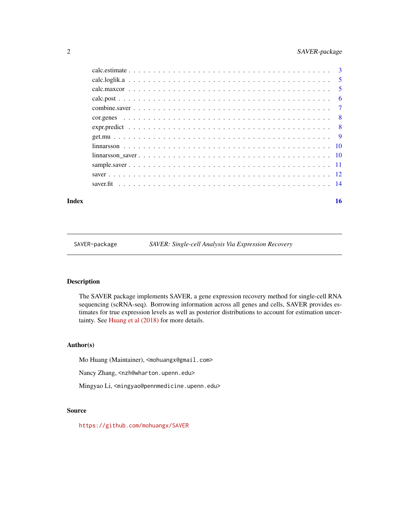## <span id="page-1-0"></span>2 SAVER-package

#### **Index** and the contract of the contract of the contract of the contract of the contract of the contract of the contract of the contract of the contract of the contract of the contract of the contract of the contract of th

SAVER-package *SAVER: Single-cell Analysis Via Expression Recovery*

## Description

The SAVER package implements SAVER, a gene expression recovery method for single-cell RNA sequencing (scRNA-seq). Borrowing information across all genes and cells, SAVER provides estimates for true expression levels as well as posterior distributions to account for estimation uncertainty. See [Huang et al \(2018\)](https://doi.org/10.1038/s41592-018-0033-z) for more details.

## Author(s)

Mo Huang (Maintainer), <mohuangx@gmail.com>

Nancy Zhang, <nzh@wharton.upenn.edu>

Mingyao Li, <mingyao@pennmedicine.upenn.edu>

#### Source

<https://github.com/mohuangx/SAVER>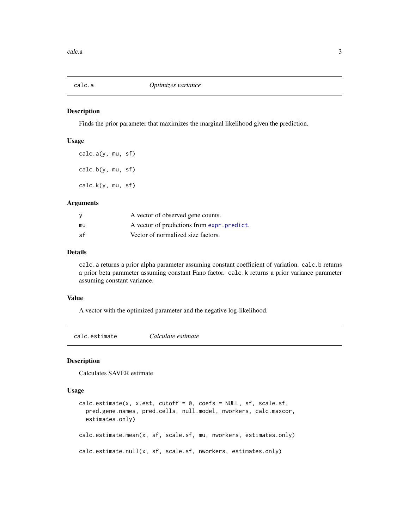<span id="page-2-0"></span>

#### Description

Finds the prior parameter that maximizes the marginal likelihood given the prediction.

#### Usage

```
calc.a(y, mu, sf)
calc.b(y, mu, sf)
calc.k(y, mu, sf)
```
#### Arguments

|     | A vector of observed gene counts.           |
|-----|---------------------------------------------|
| mu  | A vector of predictions from expr. predict. |
| .sf | Vector of normalized size factors.          |

#### Details

calc.a returns a prior alpha parameter assuming constant coefficient of variation. calc.b returns a prior beta parameter assuming constant Fano factor. calc.k returns a prior variance parameter assuming constant variance.

#### Value

A vector with the optimized parameter and the negative log-likelihood.

calc.estimate *Calculate estimate*

#### Description

Calculates SAVER estimate

#### Usage

```
calc. estimate(x, x.est, cutoff = 0, coefs = NULL, sf, scale.sf,pred.gene.names, pred.cells, null.model, nworkers, calc.maxcor,
 estimates.only)
calc.estimate.mean(x, sf, scale.sf, mu, nworkers, estimates.only)
calc.estimate.null(x, sf, scale.sf, nworkers, estimates.only)
```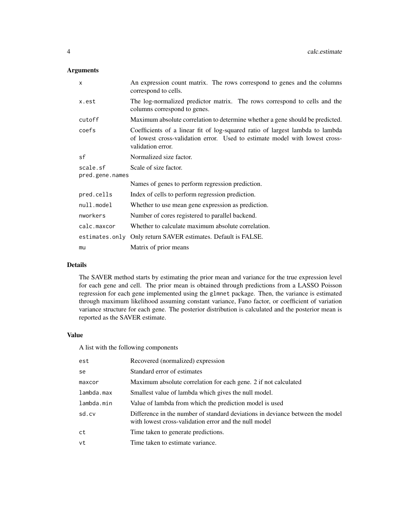## Arguments

| $\mathsf{x}$    | An expression count matrix. The rows correspond to genes and the columns<br>correspond to cells.                                                                                  |
|-----------------|-----------------------------------------------------------------------------------------------------------------------------------------------------------------------------------|
| x.est           | The log-normalized predictor matrix. The rows correspond to cells and the<br>columns correspond to genes.                                                                         |
| cutoff          | Maximum absolute correlation to determine whether a gene should be predicted.                                                                                                     |
| coefs           | Coefficients of a linear fit of log-squared ratio of largest lambda to lambda<br>of lowest cross-validation error. Used to estimate model with lowest cross-<br>validation error. |
| sf              | Normalized size factor.                                                                                                                                                           |
| scale.sf        | Scale of size factor.                                                                                                                                                             |
| pred.gene.names | Names of genes to perform regression prediction.                                                                                                                                  |
| pred.cells      | Index of cells to perform regression prediction.                                                                                                                                  |
| null.model      | Whether to use mean gene expression as prediction.                                                                                                                                |
| nworkers        | Number of cores registered to parallel backend.                                                                                                                                   |
| calc.maxcor     | Whether to calculate maximum absolute correlation.                                                                                                                                |
| estimates.only  | Only return SAVER estimates. Default is FALSE.                                                                                                                                    |
| mu              | Matrix of prior means                                                                                                                                                             |

## Details

The SAVER method starts by estimating the prior mean and variance for the true expression level for each gene and cell. The prior mean is obtained through predictions from a LASSO Poisson regression for each gene implemented using the glmnet package. Then, the variance is estimated through maximum likelihood assuming constant variance, Fano factor, or coefficient of variation variance structure for each gene. The posterior distribution is calculated and the posterior mean is reported as the SAVER estimate.

#### Value

A list with the following components

| est        | Recovered (normalized) expression                                                                                                      |
|------------|----------------------------------------------------------------------------------------------------------------------------------------|
| se         | Standard error of estimates                                                                                                            |
| maxcor     | Maximum absolute correlation for each gene. 2 if not calculated                                                                        |
| lambda.max | Smallest value of lambda which gives the null model.                                                                                   |
| lambda.min | Value of lambda from which the prediction model is used                                                                                |
| sd.cv      | Difference in the number of standard deviations in deviance between the model<br>with lowest cross-validation error and the null model |
| ct         | Time taken to generate predictions.                                                                                                    |
| vt         | Time taken to estimate variance.                                                                                                       |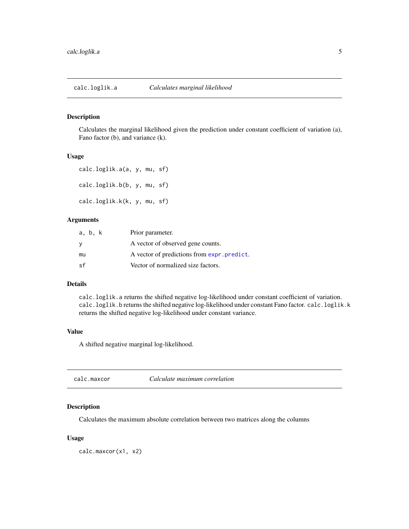<span id="page-4-0"></span>calc.loglik.a *Calculates marginal likelihood*

## Description

Calculates the marginal likelihood given the prediction under constant coefficient of variation (a), Fano factor (b), and variance (k).

#### Usage

```
calc.loglik.a(a, y, mu, sf)
calc.loglik.b(b, y, mu, sf)
calc.loglik.k(k, y, mu, sf)
```
## Arguments

| a, b, k  | Prior parameter.                            |
|----------|---------------------------------------------|
| <b>V</b> | A vector of observed gene counts.           |
| mu       | A vector of predictions from expr. predict. |
| .sf      | Vector of normalized size factors.          |

#### Details

calc.loglik.a returns the shifted negative log-likelihood under constant coefficient of variation. calc.loglik.b returns the shifted negative log-likelihood under constant Fano factor. calc.loglik.k returns the shifted negative log-likelihood under constant variance.

#### Value

A shifted negative marginal log-likelihood.

calc.maxcor *Calculate maximum correlation*

## Description

Calculates the maximum absolute correlation between two matrices along the columns

## Usage

calc.maxcor(x1, x2)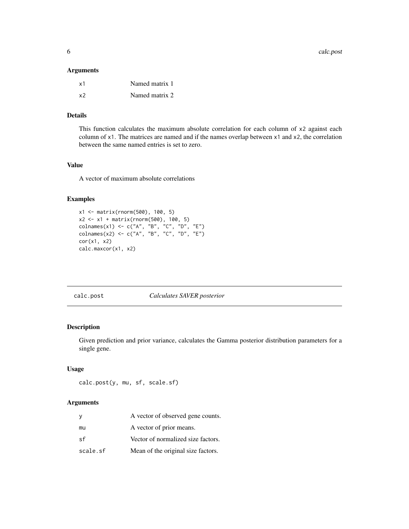<span id="page-5-0"></span>6 calc.post

#### Arguments

| x1 | Named matrix 1 |
|----|----------------|
| x2 | Named matrix 2 |

## Details

This function calculates the maximum absolute correlation for each column of x2 against each column of x1. The matrices are named and if the names overlap between x1 and x2, the correlation between the same named entries is set to zero.

## Value

A vector of maximum absolute correlations

## Examples

```
x1 <- matrix(rnorm(500), 100, 5)
x2 <- x1 + matrix(rnorm(500), 100, 5)
colnames(x1) <- c("A", "B", "C", "D", "E")
colnames(x2) <- c("A", "B", "C", "D", "E")
cor(x1, x2)calc.maxcor(x1, x2)
```
calc.post *Calculates SAVER posterior*

## Description

Given prediction and prior variance, calculates the Gamma posterior distribution parameters for a single gene.

## Usage

calc.post(y, mu, sf, scale.sf)

## Arguments

| у        | A vector of observed gene counts.  |
|----------|------------------------------------|
| mu       | A vector of prior means.           |
| sf       | Vector of normalized size factors. |
| scale.sf | Mean of the original size factors. |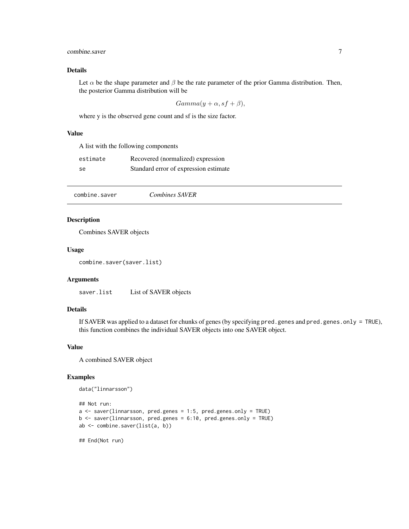## <span id="page-6-0"></span>combine.saver 7

## Details

Let  $\alpha$  be the shape parameter and  $\beta$  be the rate parameter of the prior Gamma distribution. Then, the posterior Gamma distribution will be

$$
Gamma(y + \alpha, sf + \beta),
$$

where y is the observed gene count and sf is the size factor.

## Value

A list with the following components

| estimate | Recovered (normalized) expression     |
|----------|---------------------------------------|
| se       | Standard error of expression estimate |

combine.saver *Combines SAVER*

## Description

Combines SAVER objects

#### Usage

combine.saver(saver.list)

## Arguments

saver.list List of SAVER objects

## Details

If SAVER was applied to a dataset for chunks of genes (by specifying pred.genes and pred.genes.only = TRUE), this function combines the individual SAVER objects into one SAVER object.

#### Value

A combined SAVER object

#### Examples

```
data("linnarsson")
```

```
## Not run:
a <- saver(linnarsson, pred.genes = 1:5, pred.genes.only = TRUE)
b <- saver(linnarsson, pred.genes = 6:10, pred.genes.only = TRUE)
ab <- combine.saver(list(a, b))
## End(Not run)
```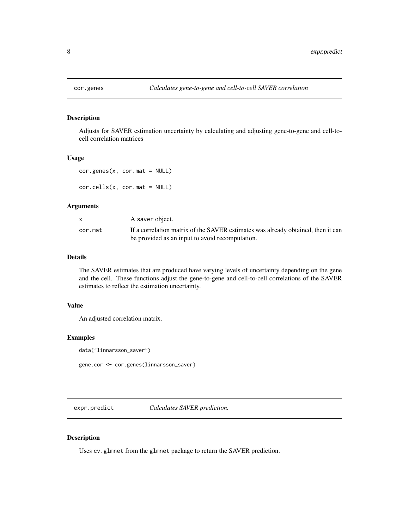<span id="page-7-0"></span>

## Description

Adjusts for SAVER estimation uncertainty by calculating and adjusting gene-to-gene and cell-tocell correlation matrices

#### Usage

```
cor.genes(x, cor.mat = NULL)
cor.cells(x, cor.mat = NULL)
```
## Arguments

|         | A saver object.                                                                  |
|---------|----------------------------------------------------------------------------------|
| cor.mat | If a correlation matrix of the SAVER estimates was already obtained, then it can |
|         | be provided as an input to avoid recomputation.                                  |

## Details

The SAVER estimates that are produced have varying levels of uncertainty depending on the gene and the cell. These functions adjust the gene-to-gene and cell-to-cell correlations of the SAVER estimates to reflect the estimation uncertainty.

## Value

An adjusted correlation matrix.

## Examples

```
data("linnarsson_saver")
```
gene.cor <- cor.genes(linnarsson\_saver)

<span id="page-7-1"></span>expr.predict *Calculates SAVER prediction.*

## Description

Uses cv.glmnet from the glmnet package to return the SAVER prediction.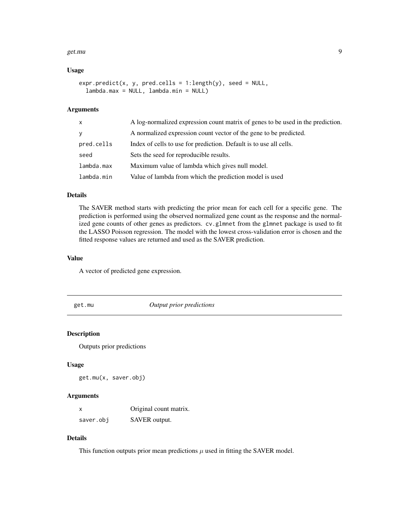#### <span id="page-8-0"></span>get.mu **9**

#### Usage

```
expr.predict(x, y, pred.cells = 1:length(y), seed = NULL,
  lambda.max = NULL, lambda.min = NULL)
```
## Arguments

| $\mathsf{x}$ | A log-normalized expression count matrix of genes to be used in the prediction. |
|--------------|---------------------------------------------------------------------------------|
| y            | A normalized expression count vector of the gene to be predicted.               |
| pred.cells   | Index of cells to use for prediction. Default is to use all cells.              |
| seed         | Sets the seed for reproducible results.                                         |
| lambda.max   | Maximum value of lambda which gives null model.                                 |
| lambda.min   | Value of lambda from which the prediction model is used                         |

## Details

The SAVER method starts with predicting the prior mean for each cell for a specific gene. The prediction is performed using the observed normalized gene count as the response and the normalized gene counts of other genes as predictors. cv.glmnet from the glmnet package is used to fit the LASSO Poisson regression. The model with the lowest cross-validation error is chosen and the fitted response values are returned and used as the SAVER prediction.

## Value

A vector of predicted gene expression.

get.mu *Output prior predictions*

## Description

Outputs prior predictions

#### Usage

get.mu(x, saver.obj)

#### Arguments

| x         | Original count matrix. |
|-----------|------------------------|
| saver.obj | SAVER output.          |

## Details

This function outputs prior mean predictions  $\mu$  used in fitting the SAVER model.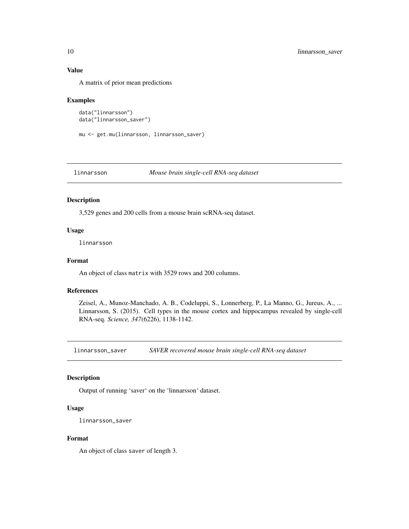## Value

A matrix of prior mean predictions

#### Examples

```
data("linnarsson")
data("linnarsson_saver")
```

```
mu <- get.mu(linnarsson, linnarsson_saver)
```

```
linnarsson Mouse brain single-cell RNA-seq dataset
```
#### Description

3,529 genes and 200 cells from a mouse brain scRNA-seq dataset.

#### Usage

linnarsson

#### Format

An object of class matrix with 3529 rows and 200 columns.

#### References

Zeisel, A., Munoz-Manchado, A. B., Codeluppi, S., Lonnerberg, P., La Manno, G., Jureus, A., ... Linnarsson, S. (2015). Cell types in the mouse cortex and hippocampus revealed by single-cell RNA-seq. *Science, 347*(6226), 1138-1142.

linnarsson\_saver *SAVER recovered mouse brain single-cell RNA-seq dataset*

## Description

Output of running 'saver' on the 'linnarsson' dataset.

## Usage

linnarsson\_saver

#### Format

An object of class saver of length 3.

<span id="page-9-0"></span>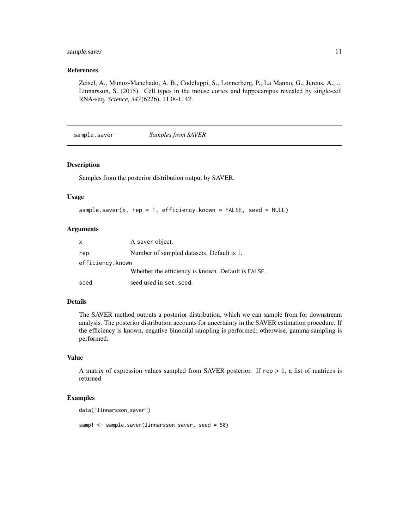## <span id="page-10-0"></span>sample.saver 11

## References

Zeisel, A., Munoz-Manchado, A. B., Codeluppi, S., Lonnerberg, P., La Manno, G., Jureus, A., ... Linnarsson, S. (2015). Cell types in the mouse cortex and hippocampus revealed by single-cell RNA-seq. *Science, 347*(6226), 1138-1142.

sample.saver *Samples from SAVER*

## Description

Samples from the posterior distribution output by SAVER.

#### Usage

```
sample.saver(x, rep = 1, efficiency.known = FALSE, seed = NULL)
```
#### Arguments

| $\mathsf{x}$     | A saver object.                                    |
|------------------|----------------------------------------------------|
| rep              | Number of sampled datasets. Default is 1.          |
| efficiency.known |                                                    |
|                  | Whether the efficiency is known. Default is FALSE. |
| seed             | seed used in set. seed.                            |

#### Details

The SAVER method outputs a posterior distribution, which we can sample from for downstream analysis. The posterior distribution accounts for uncertainty in the SAVER estimation procedure. If the efficiency is known, negative binomial sampling is performed; otherwise, gamma sampling is performed.

#### Value

A matrix of expression values sampled from SAVER posterior. If  $rep > 1$ , a list of matrices is returned

## Examples

```
data("linnarsson_saver")
```
samp1 <- sample.saver(linnarsson\_saver, seed = 50)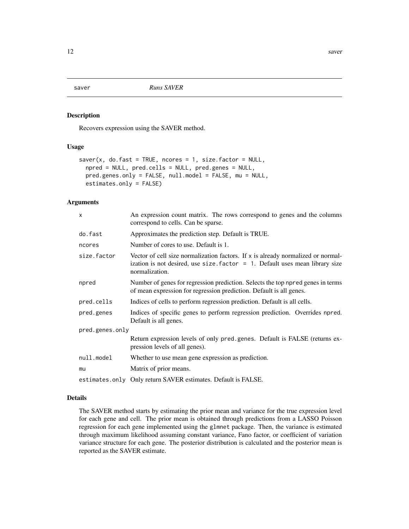<span id="page-11-0"></span>saver *Runs SAVER*

#### Description

Recovers expression using the SAVER method.

## Usage

```
saver(x, do.fast = TRUE, nores = 1, size.factor = NULL,npred = NULL, pred.cells = NULL, pred.genes = NULL,
 pred.genes.only = FALSE, null.model = FALSE, mu = NULL,
 estimates.only = FALSE)
```
## Arguments

| $\boldsymbol{\mathsf{x}}$ | An expression count matrix. The rows correspond to genes and the columns<br>correspond to cells. Can be sparse.                                                                        |  |
|---------------------------|----------------------------------------------------------------------------------------------------------------------------------------------------------------------------------------|--|
| do.fast                   | Approximates the prediction step. Default is TRUE.                                                                                                                                     |  |
| ncores                    | Number of cores to use. Default is 1.                                                                                                                                                  |  |
| size.factor               | Vector of cell size normalization factors. If $x$ is already normalized or normal-<br>ization is not desired, use size factor $= 1$ . Default uses mean library size<br>normalization. |  |
| npred                     | Number of genes for regression prediction. Selects the top npred genes in terms<br>of mean expression for regression prediction. Default is all genes.                                 |  |
| pred.cells                | Indices of cells to perform regression prediction. Default is all cells.                                                                                                               |  |
| pred.genes                | Indices of specific genes to perform regression prediction. Overrides npred.<br>Default is all genes.                                                                                  |  |
| pred.genes.only           |                                                                                                                                                                                        |  |
|                           | Return expression levels of only pred genes. Default is FALSE (returns ex-<br>pression levels of all genes).                                                                           |  |
| null.model                | Whether to use mean gene expression as prediction.                                                                                                                                     |  |
| mu                        | Matrix of prior means.                                                                                                                                                                 |  |
|                           | estimates.only Only return SAVER estimates. Default is FALSE.                                                                                                                          |  |

## Details

The SAVER method starts by estimating the prior mean and variance for the true expression level for each gene and cell. The prior mean is obtained through predictions from a LASSO Poisson regression for each gene implemented using the glmnet package. Then, the variance is estimated through maximum likelihood assuming constant variance, Fano factor, or coefficient of variation variance structure for each gene. The posterior distribution is calculated and the posterior mean is reported as the SAVER estimate.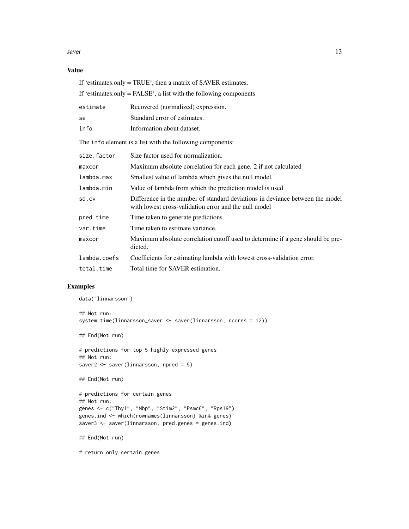saver 13

## Value

|                                                           | If 'estimates.only $=$ FALSE', a list with the following components                                                                    |  |  |
|-----------------------------------------------------------|----------------------------------------------------------------------------------------------------------------------------------------|--|--|
| estimate                                                  | Recovered (normalized) expression.                                                                                                     |  |  |
| se                                                        | Standard error of estimates.                                                                                                           |  |  |
| info                                                      | Information about dataset.                                                                                                             |  |  |
| The info element is a list with the following components: |                                                                                                                                        |  |  |
| size.factor                                               | Size factor used for normalization.                                                                                                    |  |  |
| maxcor                                                    | Maximum absolute correlation for each gene. 2 if not calculated                                                                        |  |  |
| lambda.max                                                | Smallest value of lambda which gives the null model.                                                                                   |  |  |
| lambda.min                                                | Value of lambda from which the prediction model is used                                                                                |  |  |
| sd.cv                                                     | Difference in the number of standard deviations in deviance between the model<br>with lowest cross-validation error and the null model |  |  |
| pred.time                                                 | Time taken to generate predictions.                                                                                                    |  |  |
| var.time                                                  | Time taken to estimate variance.                                                                                                       |  |  |
| maxcor                                                    | Maximum absolute correlation cutoff used to determine if a gene should be pre-<br>dicted.                                              |  |  |
| lambda.coefs                                              | Coefficients for estimating lambda with lowest cross-validation error.                                                                 |  |  |
| total.time                                                | Total time for SAVER estimation.                                                                                                       |  |  |

If 'estimates.only = TRUE', then a matrix of SAVER estimates.

## Examples

```
data("linnarsson")
## Not run:
system.time(linnarsson_saver <- saver(linnarsson, ncores = 12))
## End(Not run)
# predictions for top 5 highly expressed genes
## Not run:
saver2 <- saver(linnarsson, npred = 5)
## End(Not run)
# predictions for certain genes
## Not run:
genes <- c("Thy1", "Mbp", "Stim2", "Psmc6", "Rps19")
genes.ind <- which(rownames(linnarsson) %in% genes)
saver3 <- saver(linnarsson, pred.genes = genes.ind)
## End(Not run)
# return only certain genes
```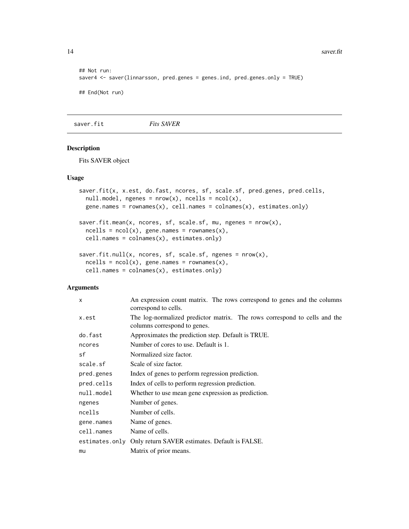#### 14 saver.fit

```
## Not run:
saver4 <- saver(linnarsson, pred.genes = genes.ind, pred.genes.only = TRUE)
## End(Not run)
```
saver.fit *Fits SAVER*

## Description

Fits SAVER object

#### Usage

```
saver.fit(x, x.est, do.fast, ncores, sf, scale.sf, pred.genes, pred.cells,
  null.\text{model}, \text{ngenes} = \text{nrow}(x), \text{ncells} = \text{ncol}(x),gene.names = rownames(x), cell.names = colnames(x), estimates.only)
saver.fit.mean(x, ncores, sf, scale.sf, mu, ngenes = nrow(x),
  ncells = ncol(x), gene.name = rownames(x),cell.names = colnames(x), estimates.only)
```

```
saver.fit.null(x, ncores, sf, scale.sf, ngenes = nrow(x),
 ncells = ncol(x), gene.name = rownames(x),cell.names = colnames(x), estimates.only)
```
## Arguments

| $\mathsf{x}$ | An expression count matrix. The rows correspond to genes and the columns<br>correspond to cells.          |
|--------------|-----------------------------------------------------------------------------------------------------------|
| x.est        | The log-normalized predictor matrix. The rows correspond to cells and the<br>columns correspond to genes. |
| do.fast      | Approximates the prediction step. Default is TRUE.                                                        |
| ncores       | Number of cores to use. Default is 1.                                                                     |
| sf           | Normalized size factor.                                                                                   |
| scale.sf     | Scale of size factor.                                                                                     |
| pred.genes   | Index of genes to perform regression prediction.                                                          |
| pred.cells   | Index of cells to perform regression prediction.                                                          |
| null.model   | Whether to use mean gene expression as prediction.                                                        |
| ngenes       | Number of genes.                                                                                          |
| ncells       | Number of cells.                                                                                          |
| gene.names   | Name of genes.                                                                                            |
| cell.names   | Name of cells.                                                                                            |
|              | estimates.only Only return SAVER estimates. Default is FALSE.                                             |
| mu           | Matrix of prior means.                                                                                    |

<span id="page-13-0"></span>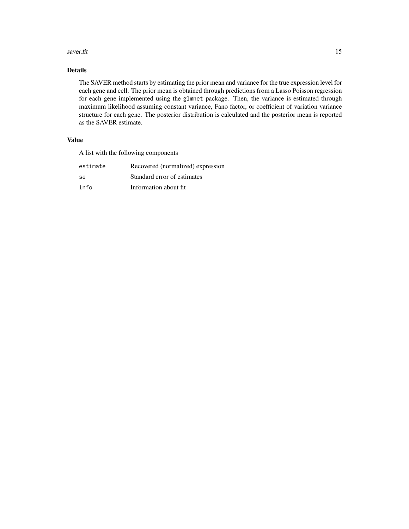#### saver.fit  $15$

## Details

The SAVER method starts by estimating the prior mean and variance for the true expression level for each gene and cell. The prior mean is obtained through predictions from a Lasso Poisson regression for each gene implemented using the glmnet package. Then, the variance is estimated through maximum likelihood assuming constant variance, Fano factor, or coefficient of variation variance structure for each gene. The posterior distribution is calculated and the posterior mean is reported as the SAVER estimate.

## Value

A list with the following components

| estimate | Recovered (normalized) expression |
|----------|-----------------------------------|
| .se      | Standard error of estimates       |
| info     | Information about fit.            |